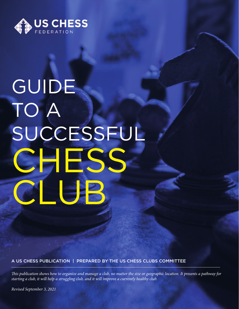

# GUIDE TO A SUCCESSFUL CHESS CLUB

A US CHESS PUBLICATION | PREPARED BY THE US CHESS CLUBS COMMITTEE

 *is publication shows how to organize and manage a club, no matter the size or geographic location. It presents a pathway for starting a club, it will help a struggling club, and it will improve a currently healthy club.*

*Revised September 3, 2021*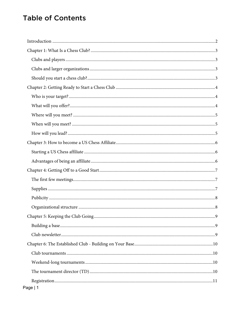# **Table of Contents**

| Page   1 |
|----------|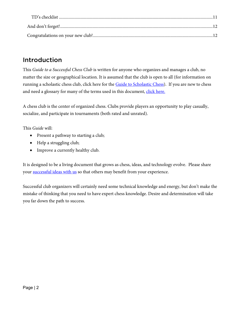# <span id="page-2-0"></span>Introduction

This *Guide to a Successful Chess Club* is written for anyone who organizes and manages a club, no matter the size or geographical location. It is assumed that the club is open to all (for information on running a scholastic chess club, click here for th[e Guide to Scholastic Chess\)](https://www.barberchess.com/wp-content/uploads/2017/10/11th-Edition-Guide-To-Scholastic-Chess-7-4-17.doc). If you are new to chess and need a glossary for many of the terms used in this document, click here.

A chess club is the center of organized chess. Clubs provide players an opportunity to play casually, socialize, and participate in tournaments (both rated and unrated).

This *Guide* will:

- Present a pathway to starting a club;
- Help a struggling club;
- Improve a currently healthy club.

It is designed to be a living document that grows as chess, ideas, and technology evolve. Please share you[r successful ideas with us](mailto:skantor@uschess.org) so that others may benefit from your experience.

Successful club organizers will certainly need some technical knowledge and energy, but don't make the mistake of thinking that you need to have expert chess knowledge. Desire and determination will take you far down the path to success.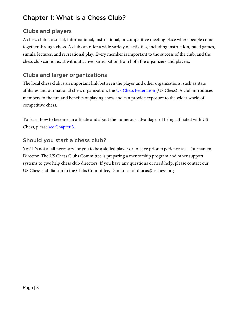# <span id="page-3-0"></span>Chapter 1: What Is a Chess Club?

# <span id="page-3-1"></span>Clubs and players

A chess club is a social, informational, instructional, or competitive meeting place where people come together through chess. A club can offer a wide variety of activities, including instruction, rated games, simuls, lectures, and recreational play. Every member is important to the success of the club, and the chess club cannot exist without active participation from both the organizers and players.

# <span id="page-3-2"></span>Clubs and larger organizations

The local chess club is an important link between the player and other organizations, such as state affiliates and our national chess organization, the [US Chess Federation](https://new.uschess.org/home/) (US Chess). A club introduces members to the fun and benefits of playing chess and can provide exposure to the wider world of competitive chess.

To learn how to become an affiliate and about the numerous advantages of being affiliated with US Chess, please see [Chapter 3.](#page-6-0)

# <span id="page-3-3"></span>Should you start a chess club?

Yes! It's not at all necessary for you to be a skilled player or to have prior experience as a Tournament Director. The US Chess Clubs Committee is preparing a mentorship program and other support systems to give help chess club directors. If you have any questions or need help, please contact our US Chess staff liaison to the Clubs Committee, [Dan Lucas](mailto:dlucas@uschess.org) at [dlucas@uschess.org](mailto:dlucas@uschess.org)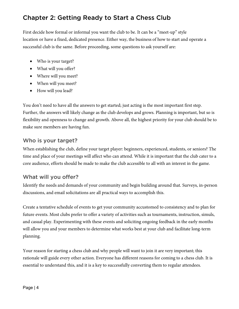# <span id="page-4-0"></span>Chapter 2: Getting Ready to Start a Chess Club

First decide how formal or informal you want the club to be. It can be a "meet-up" style location or have a fixed, dedicated presence. Either way, the business of how to start and operate a successful club is the same. Before proceeding, some questions to ask yourself are:

- Who is your target?
- What will you offer?
- Where will you meet?
- When will you meet?
- How will you lead?

You don't need to have all the answers to get started; just acting is the most important first step. Further, the answers will likely change as the club develops and grows. Planning is important, but so is flexibility and openness to change and growth. Above all, the highest priority for your club should be to make sure members are having fun.

#### <span id="page-4-1"></span>Who is your target?

When establishing the club, define your target player: beginners, experienced, students, or seniors? The time and place of your meetings will affect who can attend. While it is important that the club cater to a core audience, efforts should be made to make the club accessible to all with an interest in the game.

## <span id="page-4-2"></span>What will you offer?

Identify the needs and demands of your community and begin building around that. Surveys, in-person discussions, and email solicitations are all practical ways to accomplish this.

Create a tentative schedule of events to get your community accustomed to consistency and to plan for future events. Most clubs prefer to offer a variety of activities such as tournaments, instruction, simuls, and casual play. Experimenting with these events and soliciting ongoing feedback in the early months will allow you and your members to determine what works best at your club and facilitate long-term planning.

Your reason for starting a chess club and why people will want to join it are very important; this rationale will guide every other action. Everyone has different reasons for coming to a chess club. It is essential to understand this, and it is a key to successfully converting them to regular attendees.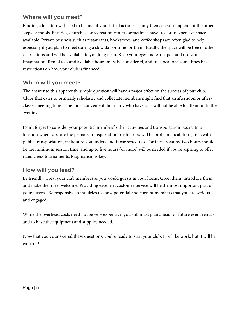#### <span id="page-5-0"></span>Where will you meet?

Finding a location will need to be one of your initial actions as only then can you implement the other steps. Schools, libraries, churches, or recreation centers sometimes have free or inexpensive space available. Private business such as restaurants, bookstores, and coffee shops are often glad to help, especially if you plan to meet during a slow day or time for them. Ideally, the space will be free of other distractions and will be available to you long term. Keep your eyes and ears open and use your imagination. Rental fees and available hours must be considered, and free locations sometimes have restrictions on how your club is financed.

#### <span id="page-5-1"></span>When will you meet?

The answer to this apparently simple question will have a major effect on the success of your club. Clubs that cater to primarily scholastic and collegiate members might find that an afternoon or afterclasses meeting time is the most convenient, but many who have jobs will not be able to attend until the evening.

Don't forget to consider your potential members' other activities and transportation issues. In a location where cars are the primary transportation, rush hours will be problematical. In regions with public transportation, make sure you understand those schedules. For these reasons, two hours should be the minimum session time, and up to five hours (or more) will be needed if you're aspiring to offer rated chess tournaments. Pragmatism is key.

## <span id="page-5-2"></span>How will you lead?

Be friendly. Treat your club members as you would guests in your home. Greet them, introduce them, and make them feel welcome. Providing excellent customer service will be the most important part of your success. Be responsive to inquiries to show potential and current members that you are serious and engaged.

While the overhead costs need not be very expensive, you still must plan ahead for future event rentals and to have the equipment and supplies needed.

Now that you've answered these questions, you're ready to start your club. It will be work, but it will be worth it!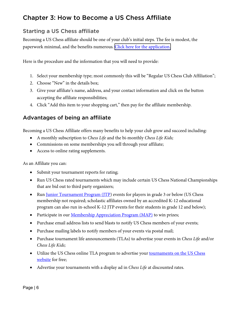# <span id="page-6-0"></span>Chapter 3: How to Become a US Chess Affiliate

## <span id="page-6-1"></span>Starting a US Chess affiliate

Becoming a US Chess affiliate should be one of your club's initial steps. The fee is modest, the paperwork minimal, and the benefits numerous. Click here for [the application.](https://secure2.uschess.org/webstore/affil.php) 

Here is the procedure and the information that you will need to provide:

- 1. Select your membership type; most commonly this will be "Regular US Chess Club Affiliation";
- 2. Choose "New" in the details box;
- 3. Give your affiliate's name, address, and your contact information and click on the button accepting the affiliate responsibilities;
- 4. Click "Add this item to your shopping cart," then pay for the affiliate membership.

## <span id="page-6-2"></span>Advantages of being an affiliate

Becoming a US Chess Affiliate offers many benefits to help your club grow and succeed including:

- A monthly subscription to *Chess Life* and the bi-monthly *Chess Life Kids;*
- Commissions on some memberships you sell through your affiliate;
- Access to online rating supplements.

As an Affiliate you can:

- Submit your tournament reports for rating;
- Run US Chess rated tournaments which may include certain US Chess National Championships that are bid out to third party organizers;
- Run <u>Junior Tournament Program (JTP</u>) events for players in grade 3 or below (US Chess membership not required; scholastic affiliates owned by an accredited K-12 educational program can also run in-school K-12 JTP events for their students in grade 12 and below);
- Participate in our *Membership Appreciation Program (MAP)* to win prizes;
- Purchase email address lists to send blasts to notify US Chess members of your events;
- Purchase mailing labels to notify members of your events via postal mail;
- Purchase tournament life announcements (TLAs) to advertise your events in *Chess Life* and/or *Chess Life Kids;*
- Utilize the US Chess online TLA program to advertise your [tournaments on the US Chess](http://www.uschess.org/tlas/upcoming.php) [website](http://www.uschess.org/tlas/upcoming.php) for free;
- Advertise your tournaments with a display ad in *Chess Life* at discounted rates.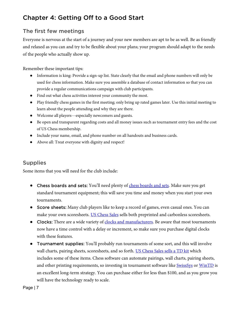# <span id="page-7-0"></span>Chapter 4: Getting Off to a Good Start

#### <span id="page-7-1"></span>The first few meetings

Everyone is nervous at the start of a journey and your new members are apt to be as well. Be as friendly and relaxed as you can and try to be flexible about your plans; your program should adapt to the needs of the people who actually show up.

Remember these important tips:

- Information is king: Provide a sign-up list. State clearly that the email and phone numbers will only be used for chess information. Make sure you assemble a database of contact information so that you can provide a regular communications campaign with club participants.
- Find out what chess activities interest your community the most.
- Play friendly chess games in the first meeting; only bring up rated games later. Use this initial meeting to learn about the people attending and why they are there.
- Welcome all players—especially newcomers and guests.
- Be open and transparent regarding costs and all money issues such as tournament entry fees and the cost of US Chess membership.
- Include your name, email, and phone number on all handouts and business cards.
- Above all: Treat everyone with dignity and respect!

#### <span id="page-7-2"></span>Supplies

Some items that you will need for the club include:

- Chess boards and sets: You'll need plenty of [chess boards and sets.](https://www.uscfsales.com/) Make sure you get standard tournament equipment; this will save you time and money when you start your own tournaments.
- Score sheets: Many club players like to keep a record of games, even casual ones. You can make your own scoresheets. [US Chess Sales](https://www.uscfsales.com/chess-scorebooks-and-club-supplies/chess-scorebooks.html) sells both preprinted and carbonless scoresheets.
- Clocks: There are a wide variety of [clocks and manufacturers.](https://www.uscfsales.com/chess-clocks/sort-by/price/sort-direction/desc.html) Be aware that most tournaments now have a time control with a delay or increment, so make sure you purchase digital clocks with these features.
- Tournament supplies: You'll probably run tournaments of some sort, and this will involve wall charts, pairing sheets, scoresheets, and so forth. [US Chess Sales sells a TD kit](https://www.uscfsales.com/catalogsearch/result/?cat=0&q=td+kit) which includes some of these items. Chess software can automate pairings, wall charts, pairing sheets, and other printing requirements, so investing in tournament software like **SwissSys** or [WinTD](https://www.uscfsales.com/catalogsearch/result/?cat=0&q=wintd) is an excellent long-term strategy. You can purchase either for less than \$100, and as you grow you will have the technology ready to scale.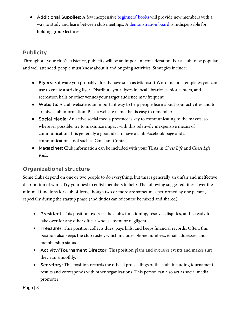• Additional Supplies: A few inexpensive **beginners' books** will provide new members with a way to study and learn between club meetings. [A demonstration board](https://www.uscfsales.com/chess-scorebooks-and-club-supplies/chess-demonstration-boards.html) is indispensable for holding group lectures.

## <span id="page-8-0"></span>**Publicity**

Throughout your club's existence, publicity will be an important consideration. For a club to be popular and well attended, people must know about it and ongoing activities. Strategies include:

- Flyers: Software you probably already have such as Microsoft Word include templates you can use to create a striking flyer. Distribute your flyers in local libraries, senior centers, and recreation halls or other venues your target audience may frequent.
- Website: A club website is an important way to help people learn about your activities and to archive club information. Pick a website name that is easy to remember.
- Social Media: An active social media presence is key to communicating to the masses, so wherever possible, try to maximize impact with this relatively inexpensive means of communication. It is generally a good idea to have a club Facebook page and a communications tool such as Constant Contact.
- Magazines: Club information can be included with your TLAs in *Chess Life* and *Chess Life Kids*.

# <span id="page-8-1"></span>Organizational structure

Some clubs depend on one or two people to do everything, but this is generally an unfair and ineffective distribution of work. Try your best to enlist members to help. The following suggested titles cover the minimal functions for club officers, though two or more are sometimes performed by one person, especially during the startup phase (and duties can of course be mixed and shared):

- President: This position oversees the club's functioning, resolves disputes, and is ready to take over for any other officer who is absent or negligent.
- Treasurer: This position collects dues, pays bills, and keeps financial records. Often, this position also keeps the club roster, which includes phone numbers, email addresses, and membership status.
- Activity/Tournament Director: This position plans and oversees events and makes sure they run smoothly.
- Secretary: This position records the official proceedings of the club, including tournament results and corresponds with other organizations. This person can also act as social media promoter.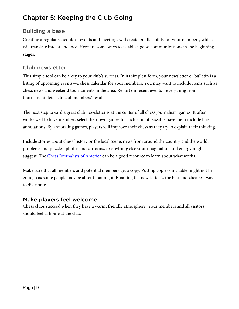# <span id="page-9-0"></span>Chapter 5: Keeping the Club Going

## <span id="page-9-1"></span>Building a base

Creating a regular schedule of events and meetings will create predictability for your members, which will translate into attendance. Here are some ways to establish good communications in the beginning stages.

# <span id="page-9-2"></span>Club newsletter

This simple tool can be a key to your club's success. In its simplest form, your newsletter or bulletin is a listing of upcoming events—a chess calendar for your members. You may want to include items such as chess news and weekend tournaments in the area. Report on recent events—everything from tournament details to club members' results.

The next step toward a great club newsletter is at the center of all chess journalism: games. It often works well to have members select their own games for inclusion; if possible have them include brief annotations. By annotating games, players will improve their chess as they try to explain their thinking.

Include stories about chess history or the local scene, news from around the country and the world, problems and puzzles, photos and cartoons, or anything else your imagination and energy might suggest. The [Chess Journalists of America](https://www.chessjournalism.org/) can be a good resource to learn about what works.

Make sure that all members and potential members get a copy. Putting copies on a table might not be enough as some people may be absent that night. Emailing the newsletter is the best and cheapest way to distribute.

## Make players feel welcome

Chess clubs succeed when they have a warm, friendly atmosphere. Your members and all visitors should feel at home at the club.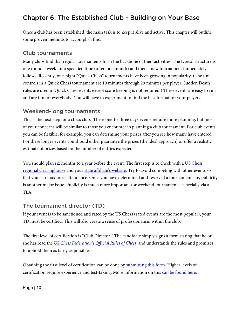# <span id="page-10-0"></span>Chapter 6: The Established Club - Building on Your Base

Once a club has been established, the main task is to keep it alive and active. This chapter will outline some proven methods to accomplish this.

#### <span id="page-10-1"></span>Club tournaments

Many clubs find that regular tournaments form the backbone of their activities. The typical structure is one round a week for a specified time (often one month) and then a new tournament immediately follows. Recently, one-night "Quick Chess" tournaments have been growing in popularity. (The time controls in a Quick Chess tournament are 10 minutes through 29 minutes per player. Sudden Death rules are used in Quick Chess events except score keeping is not required.) These events are easy to run and are fun for everybody. You will have to experiment to find the best format for your players.

#### <span id="page-10-2"></span>Weekend-long tournaments

This is the next step for a chess club. These one-to-three days events require more planning, but most of your concerns will be similar to those you encounter in planning a club tournament. For club events, you can be flexible; for example, you can determine your prizes after you see how many have entered. For these longer events you should either guarantee the prizes (the ideal approach) or offer a realistic estimate of prizes based on the number of entries expected.

You should plan six months to a year before the event. The first step is to check with a US Chess [regional clearinghouse](http://www.uschess.org/content/view/9026/510/) and your [state affiliate's website.](http://www.uschess.org/content/blogcategory/84/189/) Try to avoid competing with other events so that you can maximize attendance. Once you have determined and reserved a tournament site, publicity is another major issue. Publicity is much more important for weekend tournaments, especially via a TLA.

#### <span id="page-10-3"></span>The tournament director (TD)

If your event is to be sanctioned and rated by the US Chess (rated events are the most popular), your TD must be certified. This will also create a sense of professionalism within the club.

The first level of certification is "Club Director." The candidate simply signs a form stating that he or she has read the *US Chess Federation's [Official Rules of Chess](http://www.uschess.org/content/view/7752/369/)* and understands the rules and promises to uphold them as fairly as possible.

Obtaining the first level of certification can be done by **submitting this form**. Higher levels of certification require experience and test-taking. More information on this [can be found here.](http://www.uschess.org/docs/forms/TDCertificationRules.pdf)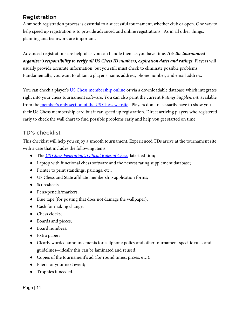## <span id="page-11-0"></span>Registration

A smooth registration process is essential to a successful tournament, whether club or open. One way to help speed up registration is to provide advanced and online registrations. As in all other things, planning and teamwork are important.

Advanced registrations are helpful as you can handle them as you have time. *It is the tournament organizer's responsibility to verify all US Chess ID numbers, expiration dates and ratings.* Players will usually provide accurate information, but you still must check to eliminate possible problems. Fundamentally, you want to obtain a player's name, address, phone number, and email address.

You can check a player'[s US Chess membership online](http://www.uschess.org/msa/) or via a downloadable database which integrates right into your chess tournament software. You can also print the current *Ratings Supplement*, available from the [member's only section of the US Chess website.](https://secure2.uschess.org/MembersOnly/MO_login.php) Players don't necessarily have to show you their US Chess membership card but it can speed up registration. Direct arriving players who registered early to check the wall chart to find possible problems early and help you get started on time.

#### <span id="page-11-1"></span>TD's checklist

This checklist will help you enjoy a smooth tournament. Experienced TDs arrive at the tournament site with a case that includes the following items:

- The *US Chess Federation's [Official Rules of Chess,](https://www.uscfsales.com/us-chess-federation-s-official-rules-of-chess-seventh-edition.html)* latest edition;
- Laptop with functional chess software and the newest rating supplement database;
- Printer to print standings, pairings, etc.;
- US Chess and State affiliate membership application forms;
- Scoresheets;
- Pens/pencils/markers;
- Blue tape (for posting that does not damage the wallpaper);
- Cash for making change;
- Chess clocks;
- Boards and pieces;
- Board numbers;
- Extra paper;
- Clearly worded announcements for cellphone policy and other tournament specific rules and guidelines—ideally this can be laminated and reused;
- Copies of the tournament's ad (for round times, prizes, etc.);
- Fliers for your next event;
- Trophies if needed.